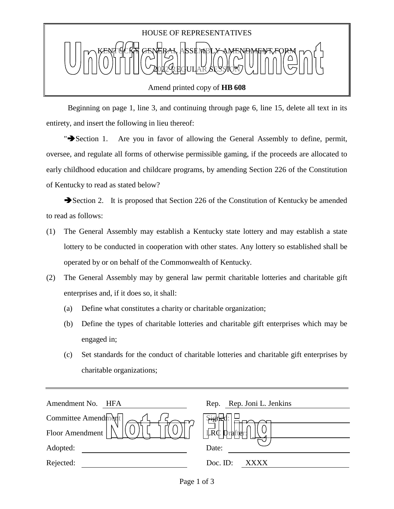

Amend printed copy of **HB 608**

 Beginning on page 1, line 3, and continuing through page 6, line 15, delete all text in its entirety, and insert the following in lieu thereof:

 $\blacktriangleright$  Section 1. Are you in favor of allowing the General Assembly to define, permit, oversee, and regulate all forms of otherwise permissible gaming, if the proceeds are allocated to early childhood education and childcare programs, by amending Section 226 of the Constitution of Kentucky to read as stated below?

Section 2. It is proposed that Section 226 of the Constitution of Kentucky be amended to read as follows:

- (1) The General Assembly may establish a Kentucky state lottery and may establish a state lottery to be conducted in cooperation with other states. Any lottery so established shall be operated by or on behalf of the Commonwealth of Kentucky.
- (2) The General Assembly may by general law permit charitable lotteries and charitable gift enterprises and, if it does so, it shall:
	- (a) Define what constitutes a charity or charitable organization;
	- (b) Define the types of charitable lotteries and charitable gift enterprises which may be engaged in;
	- (c) Set standards for the conduct of charitable lotteries and charitable gift enterprises by charitable organizations;

| Amendment No.<br>HFA | Rep. Rep. Joni L. Jenkins         |
|----------------------|-----------------------------------|
| Committee Amendment  | $\frac{1}{2}$                     |
| Floor Amendment      | $\overline{\mathbb{R}}\mathbb{C}$ |
| Adopted:             | Date:                             |
| Rejected:            | Doc. ID:<br>XXXX                  |
|                      |                                   |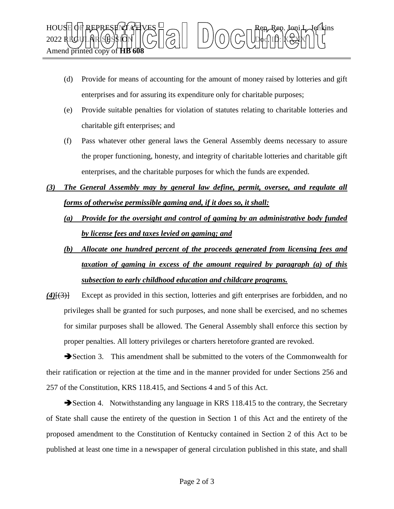

- (d) Provide for means of accounting for the amount of money raised by lotteries and gift enterprises and for assuring its expenditure only for charitable purposes;
- (e) Provide suitable penalties for violation of statutes relating to charitable lotteries and charitable gift enterprises; and
- (f) Pass whatever other general laws the General Assembly deems necessary to assure the proper functioning, honesty, and integrity of charitable lotteries and charitable gift enterprises, and the charitable purposes for which the funds are expended.
- *(3) The General Assembly may by general law define, permit, oversee, and regulate all forms of otherwise permissible gaming and, if it does so, it shall:*
	- *(a) Provide for the oversight and control of gaming by an administrative body funded by license fees and taxes levied on gaming; and*
	- *(b) Allocate one hundred percent of the proceeds generated from licensing fees and taxation of gaming in excess of the amount required by paragraph (a) of this subsection to early childhood education and childcare programs.*
- *(4)*[(3)] Except as provided in this section, lotteries and gift enterprises are forbidden, and no privileges shall be granted for such purposes, and none shall be exercised, and no schemes for similar purposes shall be allowed. The General Assembly shall enforce this section by proper penalties. All lottery privileges or charters heretofore granted are revoked.

Section 3. This amendment shall be submitted to the voters of the Commonwealth for their ratification or rejection at the time and in the manner provided for under Sections 256 and 257 of the Constitution, KRS 118.415, and Sections 4 and 5 of this Act.

Section 4. Notwithstanding any language in KRS 118.415 to the contrary, the Secretary of State shall cause the entirety of the question in Section 1 of this Act and the entirety of the proposed amendment to the Constitution of Kentucky contained in Section 2 of this Act to be published at least one time in a newspaper of general circulation published in this state, and shall